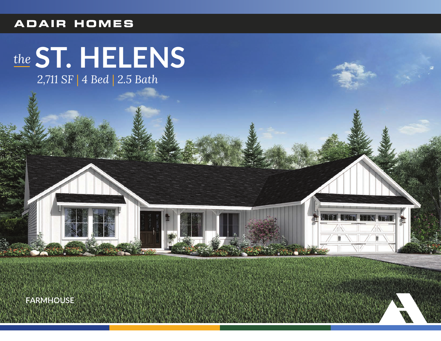#### **ADAIR HOMES**

# the ST. HELENS

2,711 SF | 4 Bed | 2.5 Bath

**FARMHOUSE**